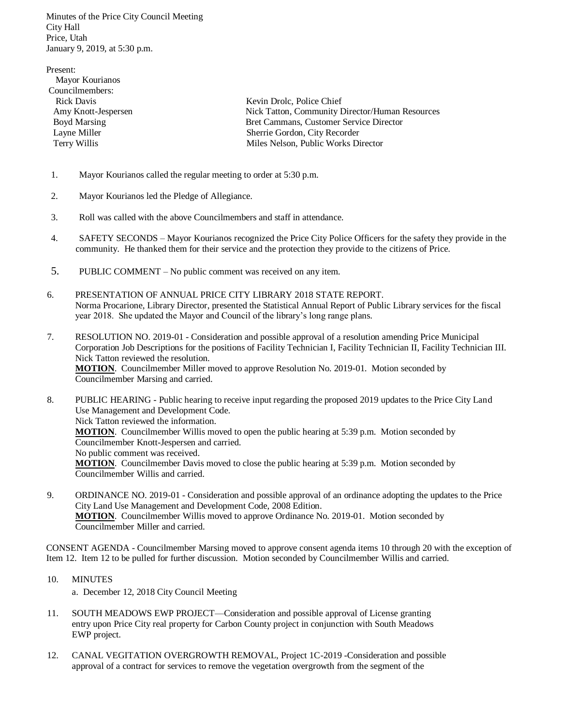Minutes of the Price City Council Meeting City Hall Price, Utah January 9, 2019, at 5:30 p.m.

Present: Mayor Kourianos Councilmembers: Rick Davis Kevin Drolc, Police Chief Amy Knott-Jespersen Nick Tatton, Community Director/Human Resources Boyd Marsing Bret Cammans, Customer Service Director Layne Miller Sherrie Gordon, City Recorder Terry Willis **Miles Nelson, Public Works Director** 

- 1. Mayor Kourianos called the regular meeting to order at 5:30 p.m.
- 2. Mayor Kourianos led the Pledge of Allegiance.
- 3. Roll was called with the above Councilmembers and staff in attendance.
- 4. SAFETY SECONDS Mayor Kourianos recognized the Price City Police Officers for the safety they provide in the community. He thanked them for their service and the protection they provide to the citizens of Price.
- 5. PUBLIC COMMENT No public comment was received on any item.
- 6. PRESENTATION OF ANNUAL PRICE CITY LIBRARY 2018 STATE REPORT. Norma Procarione, Library Director, presented the Statistical Annual Report of Public Library services for the fiscal year 2018. She updated the Mayor and Council of the library's long range plans.
- 7. RESOLUTION NO. 2019-01 Consideration and possible approval of a resolution amending Price Municipal Corporation Job Descriptions for the positions of Facility Technician I, Facility Technician II, Facility Technician III. Nick Tatton reviewed the resolution. **MOTION**. Councilmember Miller moved to approve Resolution No. 2019-01. Motion seconded by Councilmember Marsing and carried.

8. PUBLIC HEARING - Public hearing to receive input regarding the proposed 2019 updates to the Price City Land Use Management and Development Code. Nick Tatton reviewed the information. **MOTION**. Councilmember Willis moved to open the public hearing at 5:39 p.m. Motion seconded by Councilmember Knott-Jespersen and carried. No public comment was received. **MOTION**. Councilmember Davis moved to close the public hearing at 5:39 p.m. Motion seconded by Councilmember Willis and carried.

9. ORDINANCE NO. 2019-01 - Consideration and possible approval of an ordinance adopting the updates to the Price City Land Use Management and Development Code, 2008 Edition. **MOTION**. Councilmember Willis moved to approve Ordinance No. 2019-01. Motion seconded by Councilmember Miller and carried.

CONSENT AGENDA - Councilmember Marsing moved to approve consent agenda items 10 through 20 with the exception of Item 12. Item 12 to be pulled for further discussion. Motion seconded by Councilmember Willis and carried.

10 MINUTES

a. December 12, 2018 City Council Meeting

- 11. SOUTH MEADOWS EWP PROJECT—Consideration and possible approval of License granting entry upon Price City real property for Carbon County project in conjunction with South Meadows EWP project.
- 12. CANAL VEGITATION OVERGROWTH REMOVAL, Project 1C-2019 -Consideration and possible approval of a contract for services to remove the vegetation overgrowth from the segment of the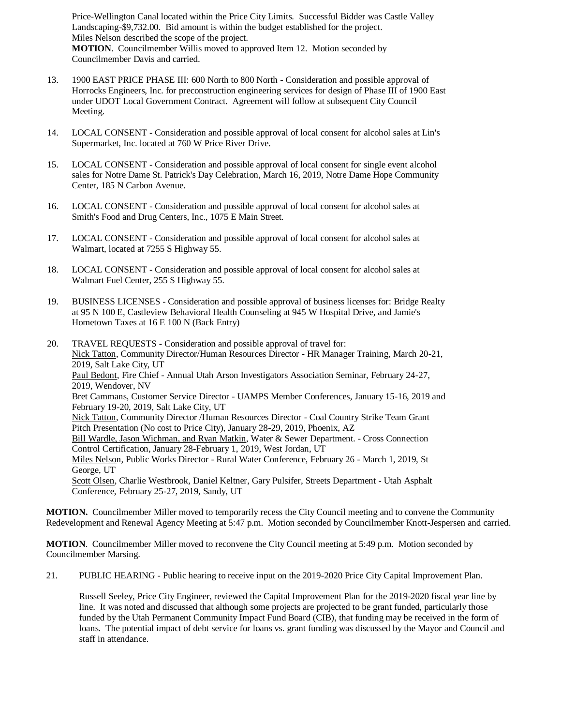Price-Wellington Canal located within the Price City Limits. Successful Bidder was Castle Valley Landscaping-\$9,732.00. Bid amount is within the budget established for the project. Miles Nelson described the scope of the project. **MOTION**. Councilmember Willis moved to approved Item 12. Motion seconded by Councilmember Davis and carried.

- 13. 1900 EAST PRICE PHASE III: 600 North to 800 North Consideration and possible approval of Horrocks Engineers, Inc. for preconstruction engineering services for design of Phase III of 1900 East under UDOT Local Government Contract. Agreement will follow at subsequent City Council Meeting.
- 14. LOCAL CONSENT Consideration and possible approval of local consent for alcohol sales at Lin's Supermarket, Inc. located at 760 W Price River Drive.
- 15. LOCAL CONSENT Consideration and possible approval of local consent for single event alcohol sales for Notre Dame St. Patrick's Day Celebration, March 16, 2019, Notre Dame Hope Community Center, 185 N Carbon Avenue.
- 16. LOCAL CONSENT Consideration and possible approval of local consent for alcohol sales at Smith's Food and Drug Centers, Inc., 1075 E Main Street.
- 17. LOCAL CONSENT Consideration and possible approval of local consent for alcohol sales at Walmart, located at 7255 S Highway 55.
- 18. LOCAL CONSENT Consideration and possible approval of local consent for alcohol sales at Walmart Fuel Center, 255 S Highway 55.
- 19. BUSINESS LICENSES Consideration and possible approval of business licenses for: Bridge Realty at 95 N 100 E, Castleview Behavioral Health Counseling at 945 W Hospital Drive, and Jamie's Hometown Taxes at 16 E 100 N (Back Entry)
- 20. TRAVEL REQUESTS Consideration and possible approval of travel for: Nick Tatton, Community Director/Human Resources Director - HR Manager Training, March 20-21, 2019, Salt Lake City, UT Paul Bedont, Fire Chief - Annual Utah Arson Investigators Association Seminar, February 24-27, 2019, Wendover, NV Bret Cammans, Customer Service Director - UAMPS Member Conferences, January 15-16, 2019 and February 19-20, 2019, Salt Lake City, UT Nick Tatton, Community Director /Human Resources Director - Coal Country Strike Team Grant Pitch Presentation (No cost to Price City), January 28-29, 2019, Phoenix, AZ Bill Wardle, Jason Wichman, and Ryan Matkin, Water & Sewer Department. - Cross Connection Control Certification, January 28-February 1, 2019, West Jordan, UT Miles Nelson, Public Works Director - Rural Water Conference, February 26 - March 1, 2019, St George, UT Scott Olsen, Charlie Westbrook, Daniel Keltner, Gary Pulsifer, Streets Department - Utah Asphalt Conference, February 25-27, 2019, Sandy, UT

**MOTION.** Councilmember Miller moved to temporarily recess the City Council meeting and to convene the Community Redevelopment and Renewal Agency Meeting at 5:47 p.m. Motion seconded by Councilmember Knott-Jespersen and carried.

**MOTION**. Councilmember Miller moved to reconvene the City Council meeting at 5:49 p.m. Motion seconded by Councilmember Marsing.

21. PUBLIC HEARING - Public hearing to receive input on the 2019-2020 Price City Capital Improvement Plan.

Russell Seeley, Price City Engineer, reviewed the Capital Improvement Plan for the 2019-2020 fiscal year line by line. It was noted and discussed that although some projects are projected to be grant funded, particularly those funded by the Utah Permanent Community Impact Fund Board (CIB), that funding may be received in the form of loans. The potential impact of debt service for loans vs. grant funding was discussed by the Mayor and Council and staff in attendance.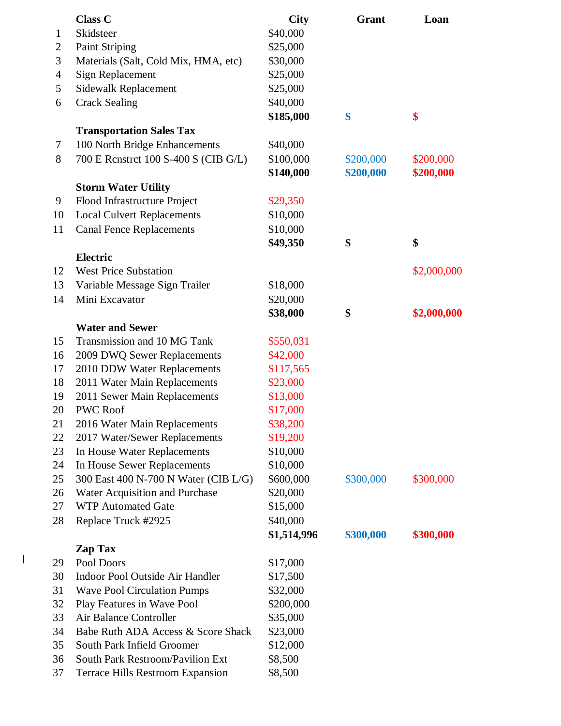|    | <b>Class C</b>                       | <b>City</b> | Grant     | Loan        |
|----|--------------------------------------|-------------|-----------|-------------|
| 1  | Skidsteer                            | \$40,000    |           |             |
| 2  | <b>Paint Striping</b>                | \$25,000    |           |             |
| 3  | Materials (Salt, Cold Mix, HMA, etc) | \$30,000    |           |             |
| 4  | <b>Sign Replacement</b>              | \$25,000    |           |             |
| 5  | Sidewalk Replacement                 | \$25,000    |           |             |
| 6  | <b>Crack Sealing</b>                 | \$40,000    |           |             |
|    |                                      | \$185,000   | \$        | \$          |
|    | <b>Transportation Sales Tax</b>      |             |           |             |
| 7  | 100 North Bridge Enhancements        | \$40,000    |           |             |
| 8  | 700 E Renstret 100 S-400 S (CIB G/L) | \$100,000   | \$200,000 | \$200,000   |
|    |                                      | \$140,000   | \$200,000 | \$200,000   |
|    |                                      |             |           |             |
|    | <b>Storm Water Utility</b>           |             |           |             |
| 9  | Flood Infrastructure Project         | \$29,350    |           |             |
| 10 | <b>Local Culvert Replacements</b>    | \$10,000    |           |             |
| 11 | <b>Canal Fence Replacements</b>      | \$10,000    |           |             |
|    |                                      | \$49,350    | \$        | \$          |
|    | <b>Electric</b>                      |             |           |             |
| 12 | <b>West Price Substation</b>         |             |           | \$2,000,000 |
| 13 | Variable Message Sign Trailer        | \$18,000    |           |             |
| 14 | Mini Excavator                       | \$20,000    |           |             |
|    |                                      | \$38,000    | \$        | \$2,000,000 |
|    | <b>Water and Sewer</b>               |             |           |             |
| 15 | Transmission and 10 MG Tank          | \$550,031   |           |             |
| 16 | 2009 DWQ Sewer Replacements          | \$42,000    |           |             |
| 17 | 2010 DDW Water Replacements          | \$117,565   |           |             |
| 18 | 2011 Water Main Replacements         | \$23,000    |           |             |
| 19 | 2011 Sewer Main Replacements         | \$13,000    |           |             |
| 20 | <b>PWC Roof</b>                      | \$17,000    |           |             |
| 21 | 2016 Water Main Replacements         | \$38,200    |           |             |
| 22 | 2017 Water/Sewer Replacements        | \$19,200    |           |             |
| 23 | In House Water Replacements          | \$10,000    |           |             |
| 24 | In House Sewer Replacements          | \$10,000    |           |             |
| 25 | 300 East 400 N-700 N Water (CIB L/G) | \$600,000   | \$300,000 | \$300,000   |
| 26 | Water Acquisition and Purchase       | \$20,000    |           |             |
| 27 | <b>WTP Automated Gate</b>            | \$15,000    |           |             |
| 28 | Replace Truck #2925                  | \$40,000    |           |             |
|    |                                      | \$1,514,996 | \$300,000 | \$300,000   |
|    | Zap Tax                              |             |           |             |
| 29 | Pool Doors                           | \$17,000    |           |             |
| 30 | Indoor Pool Outside Air Handler      | \$17,500    |           |             |
| 31 | <b>Wave Pool Circulation Pumps</b>   | \$32,000    |           |             |
| 32 | Play Features in Wave Pool           | \$200,000   |           |             |
| 33 | Air Balance Controller               | \$35,000    |           |             |
| 34 | Babe Ruth ADA Access & Score Shack   | \$23,000    |           |             |
| 35 | South Park Infield Groomer           | \$12,000    |           |             |
| 36 | South Park Restroom/Pavilion Ext     | \$8,500     |           |             |
| 37 | Terrace Hills Restroom Expansion     | \$8,500     |           |             |
|    |                                      |             |           |             |

 $\mathbf{I}$